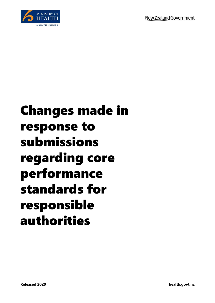

## Changes made in response to submissions regarding core performance standards for responsible authorities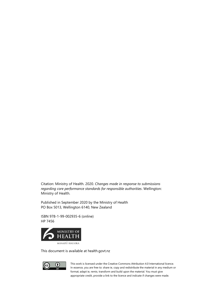Citation: Ministry of Health. 2020. *Changes made in response to submissions regarding core performance standards for responsible authorities*. Wellington: Ministry of Health.

Published in September 2020 by the Ministry of Health PO Box 5013, Wellington 6140, New Zealand

ISBN 978-1-99-002935-6 (online) HP 7456



This document is available at health.govt.nz



This work is licensed under the Creative Commons Attribution 4.0 International licence. In essence, you are free to: share ie, copy and redistribute the material in any medium or format; adapt ie, remix, transform and build upon the material. You must give appropriate credit, provide a link to the licence and indicate if changes were made.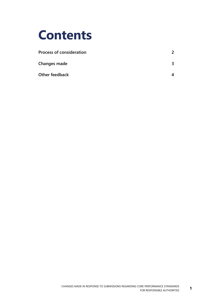

| <b>Process of consideration</b> |  |
|---------------------------------|--|
| Changes made                    |  |
| Other feedback                  |  |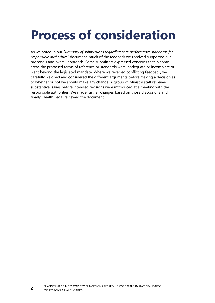## <span id="page-3-0"></span>**Process of consideration**

As we noted in our *Summary of submissions regarding core performance standards for responsible authorities<sup>1</sup>* document, much of the feedback we received supported our proposals and overall approach. Some submitters expressed concerns that in some areas the proposed terms of reference or standards were inadequate or incomplete or went beyond the legislated mandate. Where we received conflicting feedback, we carefully weighed and considered the different arguments before making a decision as to whether or not we should make any change. A group of Ministry staff reviewed substantive issues before intended revisions were introduced at a meeting with the responsible authorities. We made further changes based on those discussions and, finally, Health Legal reviewed the document.

1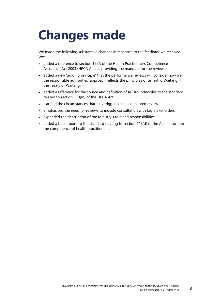## <span id="page-4-0"></span>**Changes made**

We made the following substantive changes in response to the feedback we received. We:

- added a reference to section 122A of the Health Practitioners Competence Assurance Act 2003 (HPCA Act) as providing the mandate for the reviews
- added a new 'guiding principle' that the performance reviews will consider how well the responsible authorities' approach reflects the principles of te Tiriti o Waitangi / the Treaty of Waitangi
- added a reference for the source and definition of te Tiriti principles to the standard related to section 118(m) of the HPCA Act
- clarified the circumstances that may trigger a smaller, tailored review
- emphasised the need for reviews to include consultation with key stakeholders
- expanded the description of the Ministry's role and responsibilities
- added a bullet point to the standard relating to section 118(d) of the Act 'promote the competence of health practitioners'.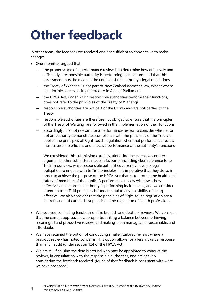## <span id="page-5-0"></span>**Other feedback**

In other areas, the feedback we received was not sufficient to convince us to make changes.

- One submitter argued that:
	- the proper scope of a performance review is to determine how effectively and efficiently a responsible authority is performing its functions, and that this assessment must be made in the context of the authority's legal obligations
	- the Treaty of Waitangi is not part of New Zealand domestic law, except where its principles are explicitly referred to in Acts of Parliament
	- the HPCA Act, under which responsible authorities perform their functions, does not refer to the principles of the Treaty of Waitangi
	- responsible authorities are not part of the Crown and are not parties to the Treaty
	- responsible authorities are therefore not obliged to ensure that the principles of the Treaty of Waitangi are followed in the implementation of their functions
	- accordingly, it is not relevant for a performance review to consider whether or not an authority demonstrates compliance with the principles of the Treaty or applies the principles of Right-touch regulation when that performance review must assess the efficient and effective performance of the authority's functions.

We considered this submission carefully, alongside the extensive counterarguments other submitters made in favour of including clear reference to te Tiriti. In our view, while responsible authorities currently have no legal obligation to engage with te Tiriti principles, it is imperative that they do so in order to achieve the purpose of the HPCA Act; that is, to protect the health and safety of members of the public. A performance review will assess how effectively a responsible authority is performing its functions, and we consider attention to te Tiriti principles is fundamental to any possibility of being effective. We also consider that the principles of Right-touch regulation are a fair reflection of current best practice in the regulation of health professions.

- We received conflicting feedback on the breadth and depth of reviews. We consider that the current approach is appropriate, striking a balance between achieving meaningful and productive reviews and making them manageable, sustainable, and affordable.
- We have retained the option of conducting smaller, tailored reviews where a previous review has noted concerns. This option allows for a less intrusive response than a full audit (under section 124 of the HPCA Act).
- We are still finalising the details around who may be appointed to conduct the reviews, in consultation with the responsible authorities, and are actively considering the feedback received. (Much of that feedback is consistent with what we have proposed.)

**4**